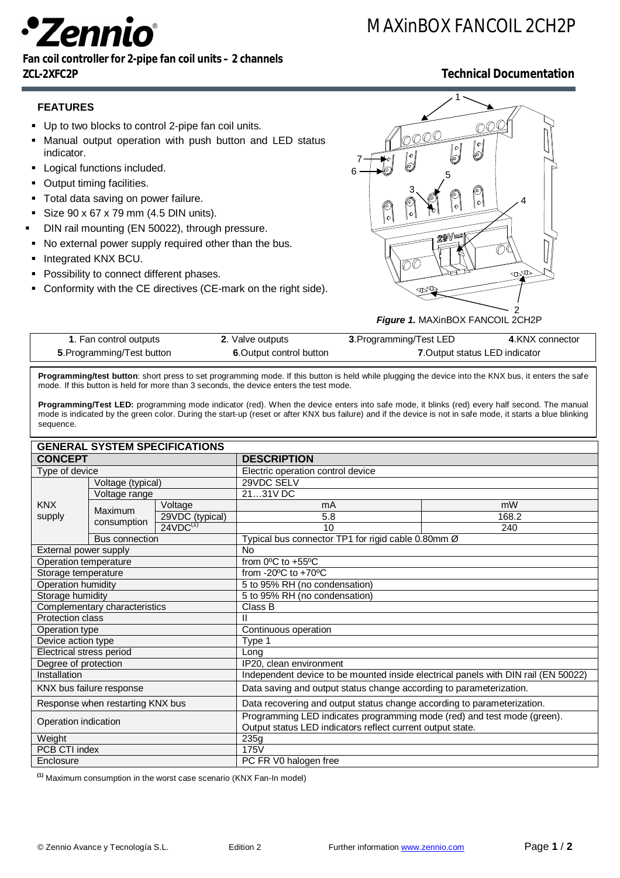# enni

## MAXinBOX FANCOIL 2CH2P

#### **Fan coil controller for 2-pipe fan coil units – 2 channels ZCL-2XFC2P Technical Documentation**

#### **FEATURES**

- Up to two blocks to control 2-pipe fan coil units.
- Manual output operation with push button and LED status indicator.
- **-** Logical functions included.
- **Output timing facilities.**
- **Total data saving on power failure.**
- Size  $90 \times 67 \times 79$  mm (4.5 DIN units).
- DIN rail mounting (EN 50022), through pressure.
- $\blacksquare$  No external power supply required other than the bus.
- **Integrated KNX BCU.**
- **Possibility to connect different phases.**
- Conformity with the CE directives (CE-mark on the right side).



*Figure 1.* MAXinBOX FANCOIL 2CH2P

| 1. Fan control outputs     | 2. Valve outputs         | 3. Programming/Test LED        | 4.KNX connector |
|----------------------------|--------------------------|--------------------------------|-----------------|
| 5. Programming/Test button | 6. Output control button | 7. Output status LED indicator |                 |

**Programming/test button**: short press to set programming mode. If this button is held while plugging the device into the KNX bus, it enters the safe mode. If this button is held for more than 3 seconds, the device enters the test mode.

Programming/Test LED: programming mode indicator (red). When the device enters into safe mode, it blinks (red) every half second. The manual mode is indicated by the green color. During the start-up (reset or after KNX bus failure) and if the device is not in safe mode, it starts a blue blinking sequence.

| <b>GENERAL SYSTEM SPECIFICATIONS</b> |                        |                 |                                                                                                                                       |       |  |
|--------------------------------------|------------------------|-----------------|---------------------------------------------------------------------------------------------------------------------------------------|-------|--|
| <b>CONCEPT</b>                       |                        |                 | <b>DESCRIPTION</b>                                                                                                                    |       |  |
| Type of device                       |                        |                 | Electric operation control device                                                                                                     |       |  |
| <b>KNX</b><br>supply                 | Voltage (typical)      |                 | 29VDC SELV                                                                                                                            |       |  |
|                                      | Voltage range          |                 | 2131V DC                                                                                                                              |       |  |
|                                      | Maximum<br>consumption | Voltage         | mA                                                                                                                                    | mW    |  |
|                                      |                        | 29VDC (typical) | 5.8                                                                                                                                   | 168.2 |  |
|                                      |                        | $24VDC^{(1)}$   | 10                                                                                                                                    | 240   |  |
|                                      | <b>Bus connection</b>  |                 | Typical bus connector TP1 for rigid cable 0.80mm Ø                                                                                    |       |  |
| External power supply                |                        |                 | No                                                                                                                                    |       |  |
| Operation temperature                |                        |                 | from 0°C to +55°C                                                                                                                     |       |  |
| Storage temperature                  |                        |                 | from -20 $\mathrm{^{\circ}C}$ to +70 $\mathrm{^{\circ}C}$                                                                             |       |  |
| Operation humidity                   |                        |                 | 5 to 95% RH (no condensation)                                                                                                         |       |  |
| Storage humidity                     |                        |                 | 5 to 95% RH (no condensation)                                                                                                         |       |  |
| Complementary characteristics        |                        |                 | Class B                                                                                                                               |       |  |
| Protection class                     |                        |                 |                                                                                                                                       |       |  |
| Operation type                       |                        |                 | Continuous operation                                                                                                                  |       |  |
| Device action type                   |                        |                 | Type 1                                                                                                                                |       |  |
| Electrical stress period             |                        |                 | Long                                                                                                                                  |       |  |
| Degree of protection                 |                        |                 | IP20, clean environment                                                                                                               |       |  |
| Installation                         |                        |                 | Independent device to be mounted inside electrical panels with DIN rail (EN 50022)                                                    |       |  |
| KNX bus failure response             |                        |                 | Data saving and output status change according to parameterization.                                                                   |       |  |
| Response when restarting KNX bus     |                        |                 | Data recovering and output status change according to parameterization.                                                               |       |  |
| Operation indication                 |                        |                 | Programming LED indicates programming mode (red) and test mode (green).<br>Output status LED indicators reflect current output state. |       |  |
| Weight                               |                        |                 | 235g                                                                                                                                  |       |  |
| PCB CTI index                        |                        |                 | 175V                                                                                                                                  |       |  |
| Enclosure                            |                        |                 | PC FR V0 halogen free                                                                                                                 |       |  |

**(1)** Maximum consumption in the worst case scenario (KNX Fan-In model)